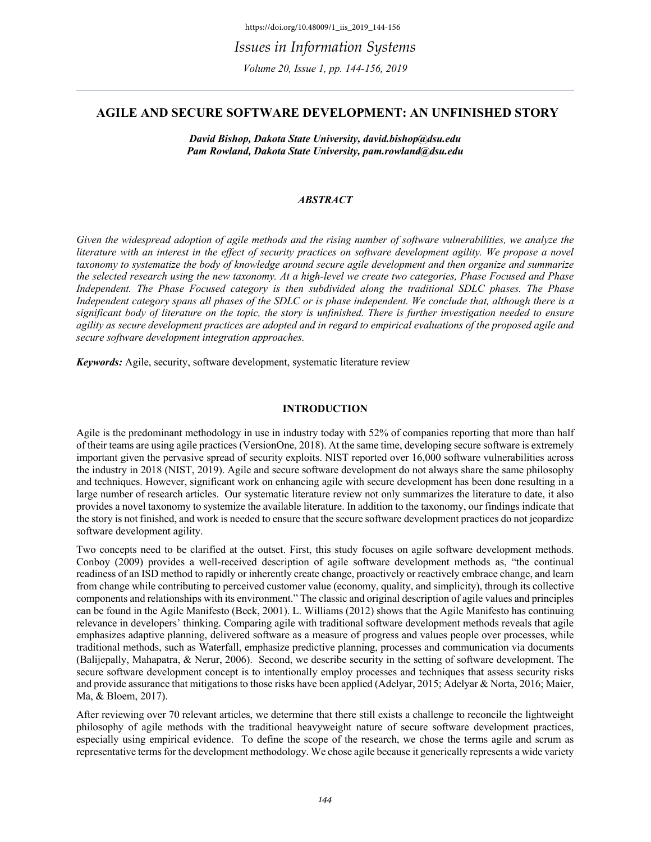# **AGILE AND SECURE SOFTWARE DEVELOPMENT: AN UNFINISHED STORY**

*David Bishop, Dakota State University, david.bishop@dsu.edu Pam Rowland, Dakota State University, pam.rowland@dsu.edu*

# *ABSTRACT*

*Given the widespread adoption of agile methods and the rising number of software vulnerabilities, we analyze the*  literature with an interest in the effect of security practices on software development agility. We propose a novel *taxonomy to systematize the body of knowledge around secure agile development and then organize and summarize the selected research using the new taxonomy. At a high-level we create two categories, Phase Focused and Phase Independent. The Phase Focused category is then subdivided along the traditional SDLC phases. The Phase Independent category spans all phases of the SDLC or is phase independent. We conclude that, although there is a significant body of literature on the topic, the story is unfinished. There is further investigation needed to ensure agility as secure development practices are adopted and in regard to empirical evaluations of the proposed agile and secure software development integration approaches.*

*Keywords:* Agile, security, software development, systematic literature review

### **INTRODUCTION**

Agile is the predominant methodology in use in industry today with 52% of companies reporting that more than half of their teams are using agile practices (VersionOne, 2018). At the same time, developing secure software is extremely important given the pervasive spread of security exploits. NIST reported over 16,000 software vulnerabilities across the industry in 2018 (NIST, 2019). Agile and secure software development do not always share the same philosophy and techniques. However, significant work on enhancing agile with secure development has been done resulting in a large number of research articles. Our systematic literature review not only summarizes the literature to date, it also provides a novel taxonomy to systemize the available literature. In addition to the taxonomy, our findings indicate that the story is not finished, and work is needed to ensure that the secure software development practices do not jeopardize software development agility.

Two concepts need to be clarified at the outset. First, this study focuses on agile software development methods. Conboy (2009) provides a well-received description of agile software development methods as, "the continual readiness of an ISD method to rapidly or inherently create change, proactively or reactively embrace change, and learn from change while contributing to perceived customer value (economy, quality, and simplicity), through its collective components and relationships with its environment." The classic and original description of agile values and principles can be found in the Agile Manifesto (Beck, 2001). L. Williams (2012) shows that the Agile Manifesto has continuing relevance in developers' thinking. Comparing agile with traditional software development methods reveals that agile emphasizes adaptive planning, delivered software as a measure of progress and values people over processes, while traditional methods, such as Waterfall, emphasize predictive planning, processes and communication via documents (Balijepally, Mahapatra, & Nerur, 2006). Second, we describe security in the setting of software development. The secure software development concept is to intentionally employ processes and techniques that assess security risks and provide assurance that mitigations to those risks have been applied (Adelyar, 2015; Adelyar & Norta, 2016; Maier, Ma, & Bloem, 2017).

After reviewing over 70 relevant articles, we determine that there still exists a challenge to reconcile the lightweight philosophy of agile methods with the traditional heavyweight nature of secure software development practices, especially using empirical evidence. To define the scope of the research, we chose the terms agile and scrum as representative terms for the development methodology. We chose agile because it generically represents a wide variety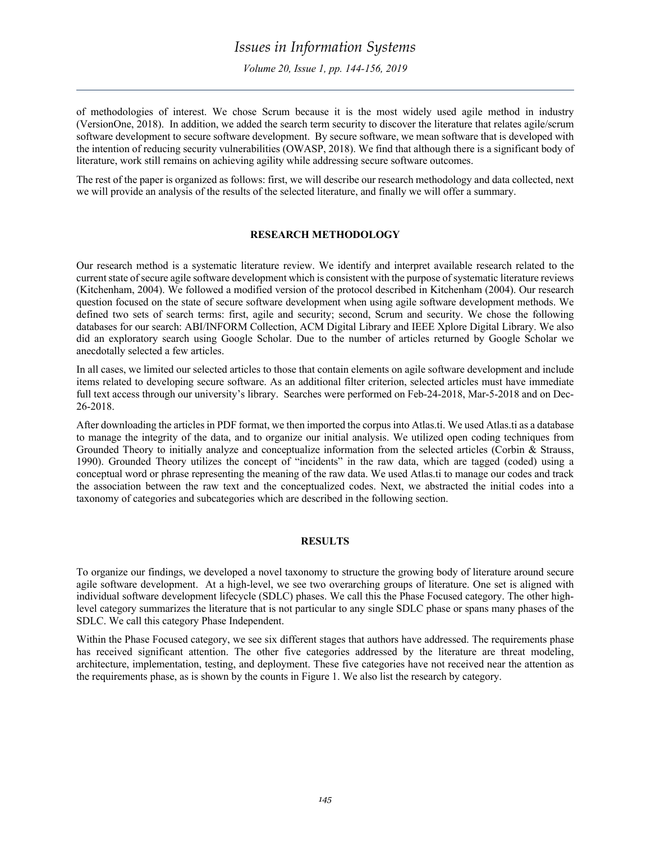*Volume 20, Issue 1, pp. 144-156, 2019*

of methodologies of interest. We chose Scrum because it is the most widely used agile method in industry (VersionOne, 2018). In addition, we added the search term security to discover the literature that relates agile/scrum software development to secure software development. By secure software, we mean software that is developed with the intention of reducing security vulnerabilities (OWASP, 2018). We find that although there is a significant body of literature, work still remains on achieving agility while addressing secure software outcomes.

The rest of the paper is organized as follows: first, we will describe our research methodology and data collected, next we will provide an analysis of the results of the selected literature, and finally we will offer a summary.

### **RESEARCH METHODOLOGY**

Our research method is a systematic literature review. We identify and interpret available research related to the current state of secure agile software development which is consistent with the purpose of systematic literature reviews (Kitchenham, 2004). We followed a modified version of the protocol described in Kitchenham (2004). Our research question focused on the state of secure software development when using agile software development methods. We defined two sets of search terms: first, agile and security; second, Scrum and security. We chose the following databases for our search: ABI/INFORM Collection, ACM Digital Library and IEEE Xplore Digital Library. We also did an exploratory search using Google Scholar. Due to the number of articles returned by Google Scholar we anecdotally selected a few articles.

In all cases, we limited our selected articles to those that contain elements on agile software development and include items related to developing secure software. As an additional filter criterion, selected articles must have immediate full text access through our university's library. Searches were performed on Feb-24-2018, Mar-5-2018 and on Dec-26-2018.

After downloading the articles in PDF format, we then imported the corpus into Atlas.ti. We used Atlas.ti as a database to manage the integrity of the data, and to organize our initial analysis. We utilized open coding techniques from Grounded Theory to initially analyze and conceptualize information from the selected articles (Corbin & Strauss, 1990). Grounded Theory utilizes the concept of "incidents" in the raw data, which are tagged (coded) using a conceptual word or phrase representing the meaning of the raw data. We used Atlas.ti to manage our codes and track the association between the raw text and the conceptualized codes. Next, we abstracted the initial codes into a taxonomy of categories and subcategories which are described in the following section.

### **RESULTS**

To organize our findings, we developed a novel taxonomy to structure the growing body of literature around secure agile software development. At a high-level, we see two overarching groups of literature. One set is aligned with individual software development lifecycle (SDLC) phases. We call this the Phase Focused category. The other highlevel category summarizes the literature that is not particular to any single SDLC phase or spans many phases of the SDLC. We call this category Phase Independent.

Within the Phase Focused category, we see six different stages that authors have addressed. The requirements phase has received significant attention. The other five categories addressed by the literature are threat modeling, architecture, implementation, testing, and deployment. These five categories have not received near the attention as the requirements phase, as is shown by the counts in Figure 1. We also list the research by category.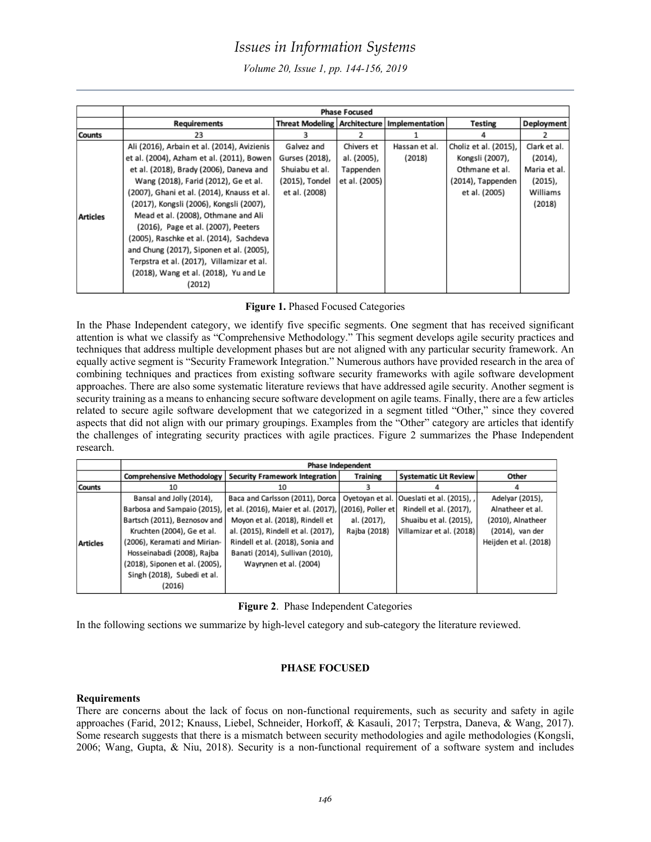*Volume 20, Issue 1, pp. 144-156, 2019*

|                 | <b>Phase Focused</b>                        |                                                 |               |               |                       |              |  |
|-----------------|---------------------------------------------|-------------------------------------------------|---------------|---------------|-----------------------|--------------|--|
|                 | <b>Requirements</b>                         | Threat Modeling   Architecture   Implementation |               |               | Testing               | Deployment   |  |
| <b>Counts</b>   | 23                                          |                                                 |               |               |                       |              |  |
|                 | Ali (2016), Arbain et al. (2014), Avizienis | Galvez and                                      | Chivers et    | Hassan et al. | Choliz et al. (2015), | Clark et al. |  |
|                 | et al. (2004), Azham et al. (2011), Bowen   | Gurses (2018),                                  | al. (2005),   | (2018)        | Kongsli (2007),       | $(2014)$ ,   |  |
|                 | et al. (2018), Brady (2006), Daneva and     | Shuiabu et al.                                  | Tappenden     |               | Othmane et al.        | Maria et al. |  |
|                 | Wang (2018), Farid (2012), Ge et al.        | (2015), Tondel                                  | et al. (2005) |               | (2014), Tappenden     | $(2015)$ ,   |  |
|                 | (2007), Ghani et al. (2014), Knauss et al.  | et al. (2008)                                   |               |               | et al. (2005)         | Williams     |  |
|                 | (2017), Kongsli (2006), Kongsli (2007),     |                                                 |               |               |                       | (2018)       |  |
| <b>Articles</b> | Mead et al. (2008), Othmane and Ali         |                                                 |               |               |                       |              |  |
|                 | (2016), Page et al. (2007), Peeters         |                                                 |               |               |                       |              |  |
|                 | (2005), Raschke et al. (2014), Sachdeva     |                                                 |               |               |                       |              |  |
|                 | and Chung (2017), Siponen et al. (2005),    |                                                 |               |               |                       |              |  |
|                 | Terpstra et al. (2017), Villamizar et al.   |                                                 |               |               |                       |              |  |
|                 | (2018), Wang et al. (2018), Yu and Le       |                                                 |               |               |                       |              |  |
|                 | (2012)                                      |                                                 |               |               |                       |              |  |

# **Figure 1.** Phased Focused Categories

In the Phase Independent category, we identify five specific segments. One segment that has received significant attention is what we classify as "Comprehensive Methodology." This segment develops agile security practices and techniques that address multiple development phases but are not aligned with any particular security framework. An equally active segment is "Security Framework Integration." Numerous authors have provided research in the area of combining techniques and practices from existing software security frameworks with agile software development approaches. There are also some systematic literature reviews that have addressed agile security. Another segment is security training as a means to enhancing secure software development on agile teams. Finally, there are a few articles related to secure agile software development that we categorized in a segment titled "Other," since they covered aspects that did not align with our primary groupings. Examples from the "Other" category are articles that identify the challenges of integrating security practices with agile practices. Figure 2 summarizes the Phase Independent research.

|                 | <b>Phase Independent</b>         |                                                       |                 |                                             |                       |  |
|-----------------|----------------------------------|-------------------------------------------------------|-----------------|---------------------------------------------|-----------------------|--|
|                 | <b>Comprehensive Methodology</b> | <b>Security Framework Integration</b>                 | <b>Training</b> | <b>Systematic Lit Review</b>                | Other                 |  |
| <b>Counts</b>   | 10                               | 10                                                    |                 |                                             |                       |  |
|                 | Bansal and Jolly (2014),         | Baca and Carlsson (2011), Dorca                       |                 | Oyetoyan et al.   Oueslati et al. (2015), , | Adelyar (2015),       |  |
|                 | Barbosa and Sampaio (2015),      | et al. (2016), Maier et al. (2017), (2016), Poller et |                 | Rindell et al. (2017),                      | Alnatheer et al.      |  |
|                 | Bartsch (2011), Beznosov and     | Moyon et al. (2018), Rindell et                       | al. (2017),     | Shuaibu et al. (2015),                      | (2010), Alnatheer     |  |
|                 | Kruchten (2004), Ge et al.       | al. (2015), Rindell et al. (2017),                    | Rajba (2018)    | Villamizar et al. (2018)                    | (2014), van der       |  |
| <b>Articles</b> | (2006), Keramati and Mirian-     | Rindell et al. (2018), Sonia and                      |                 |                                             | Heijden et al. (2018) |  |
|                 | Hosseinabadi (2008), Rajba       | Banati (2014), Sullivan (2010),                       |                 |                                             |                       |  |
|                 | (2018), Siponen et al. (2005),   | Wayrynen et al. (2004)                                |                 |                                             |                       |  |
|                 | Singh (2018), Subedi et al.      |                                                       |                 |                                             |                       |  |
|                 | (2016)                           |                                                       |                 |                                             |                       |  |

|  |  | Figure 2. Phase Independent Categories |  |
|--|--|----------------------------------------|--|
|--|--|----------------------------------------|--|

In the following sections we summarize by high-level category and sub-category the literature reviewed.

# **PHASE FOCUSED**

### **Requirements**

There are concerns about the lack of focus on non-functional requirements, such as security and safety in agile approaches (Farid, 2012; Knauss, Liebel, Schneider, Horkoff, & Kasauli, 2017; Terpstra, Daneva, & Wang, 2017). Some research suggests that there is a mismatch between security methodologies and agile methodologies (Kongsli, 2006; Wang, Gupta, & Niu, 2018). Security is a non-functional requirement of a software system and includes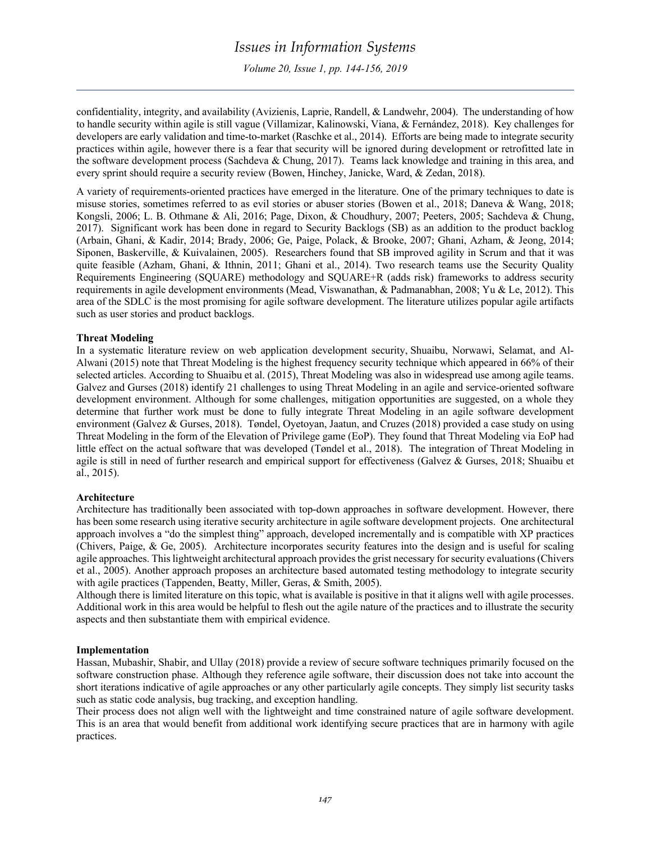*Volume 20, Issue 1, pp. 144-156, 2019*

confidentiality, integrity, and availability (Avizienis, Laprie, Randell, & Landwehr, 2004). The understanding of how to handle security within agile is still vague (Villamizar, Kalinowski, Viana, & Fernández, 2018). Key challenges for developers are early validation and time-to-market (Raschke et al., 2014). Efforts are being made to integrate security practices within agile, however there is a fear that security will be ignored during development or retrofitted late in the software development process (Sachdeva & Chung, 2017). Teams lack knowledge and training in this area, and every sprint should require a security review (Bowen, Hinchey, Janicke, Ward, & Zedan, 2018).

A variety of requirements-oriented practices have emerged in the literature. One of the primary techniques to date is misuse stories, sometimes referred to as evil stories or abuser stories (Bowen et al., 2018; Daneva & Wang, 2018; Kongsli, 2006; L. B. Othmane & Ali, 2016; Page, Dixon, & Choudhury, 2007; Peeters, 2005; Sachdeva & Chung, 2017). Significant work has been done in regard to Security Backlogs (SB) as an addition to the product backlog (Arbain, Ghani, & Kadir, 2014; Brady, 2006; Ge, Paige, Polack, & Brooke, 2007; Ghani, Azham, & Jeong, 2014; Siponen, Baskerville, & Kuivalainen, 2005). Researchers found that SB improved agility in Scrum and that it was quite feasible (Azham, Ghani, & Ithnin, 2011; Ghani et al., 2014). Two research teams use the Security Quality Requirements Engineering (SQUARE) methodology and SQUARE+R (adds risk) frameworks to address security requirements in agile development environments (Mead, Viswanathan, & Padmanabhan, 2008; Yu & Le, 2012). This area of the SDLC is the most promising for agile software development. The literature utilizes popular agile artifacts such as user stories and product backlogs.

### **Threat Modeling**

In a systematic literature review on web application development security, Shuaibu, Norwawi, Selamat, and Al-Alwani (2015) note that Threat Modeling is the highest frequency security technique which appeared in 66% of their selected articles. According to Shuaibu et al. (2015), Threat Modeling was also in widespread use among agile teams. Galvez and Gurses (2018) identify 21 challenges to using Threat Modeling in an agile and service-oriented software development environment. Although for some challenges, mitigation opportunities are suggested, on a whole they determine that further work must be done to fully integrate Threat Modeling in an agile software development environment (Galvez & Gurses, 2018). Tøndel, Oyetoyan, Jaatun, and Cruzes (2018) provided a case study on using Threat Modeling in the form of the Elevation of Privilege game (EoP). They found that Threat Modeling via EoP had little effect on the actual software that was developed (Tøndel et al., 2018). The integration of Threat Modeling in agile is still in need of further research and empirical support for effectiveness (Galvez & Gurses, 2018; Shuaibu et al., 2015).

### **Architecture**

Architecture has traditionally been associated with top-down approaches in software development. However, there has been some research using iterative security architecture in agile software development projects. One architectural approach involves a "do the simplest thing" approach, developed incrementally and is compatible with XP practices (Chivers, Paige, & Ge, 2005). Architecture incorporates security features into the design and is useful for scaling agile approaches. This lightweight architectural approach provides the grist necessary for security evaluations (Chivers et al., 2005). Another approach proposes an architecture based automated testing methodology to integrate security with agile practices (Tappenden, Beatty, Miller, Geras, & Smith, 2005).

Although there is limited literature on this topic, what is available is positive in that it aligns well with agile processes. Additional work in this area would be helpful to flesh out the agile nature of the practices and to illustrate the security aspects and then substantiate them with empirical evidence.

### **Implementation**

Hassan, Mubashir, Shabir, and Ullay (2018) provide a review of secure software techniques primarily focused on the software construction phase. Although they reference agile software, their discussion does not take into account the short iterations indicative of agile approaches or any other particularly agile concepts. They simply list security tasks such as static code analysis, bug tracking, and exception handling.

Their process does not align well with the lightweight and time constrained nature of agile software development. This is an area that would benefit from additional work identifying secure practices that are in harmony with agile practices.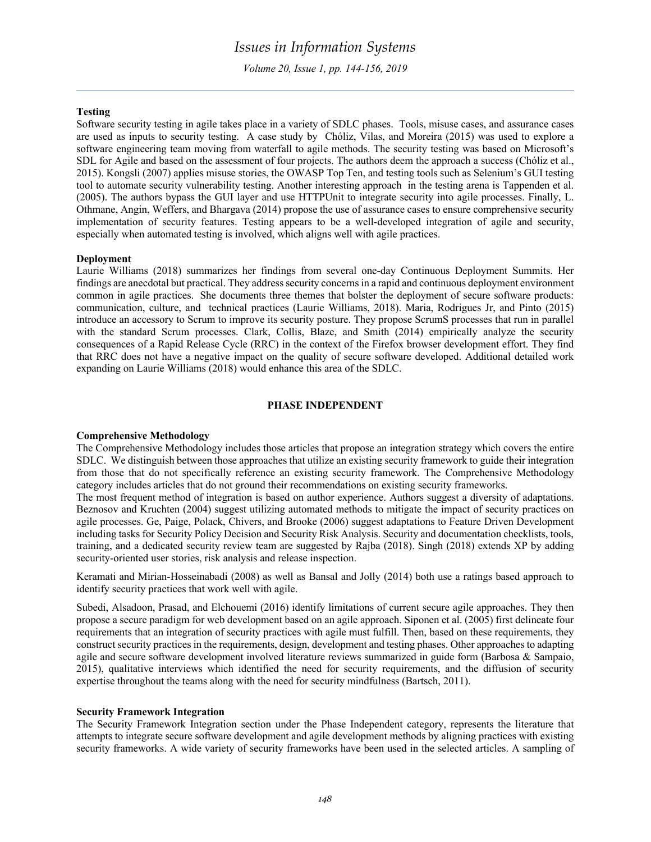*Volume 20, Issue 1, pp. 144-156, 2019*

### **Testing**

Software security testing in agile takes place in a variety of SDLC phases. Tools, misuse cases, and assurance cases are used as inputs to security testing. A case study by Chóliz, Vilas, and Moreira (2015) was used to explore a software engineering team moving from waterfall to agile methods. The security testing was based on Microsoft's SDL for Agile and based on the assessment of four projects. The authors deem the approach a success (Chóliz et al., 2015). Kongsli (2007) applies misuse stories, the OWASP Top Ten, and testing tools such as Selenium's GUI testing tool to automate security vulnerability testing. Another interesting approach in the testing arena is Tappenden et al. (2005). The authors bypass the GUI layer and use HTTPUnit to integrate security into agile processes. Finally, L. Othmane, Angin, Weffers, and Bhargava (2014) propose the use of assurance cases to ensure comprehensive security implementation of security features. Testing appears to be a well-developed integration of agile and security, especially when automated testing is involved, which aligns well with agile practices.

### **Deployment**

Laurie Williams (2018) summarizes her findings from several one-day Continuous Deployment Summits. Her findings are anecdotal but practical. They address security concerns in a rapid and continuous deployment environment common in agile practices. She documents three themes that bolster the deployment of secure software products: communication, culture, and technical practices (Laurie Williams, 2018). Maria, Rodrigues Jr, and Pinto (2015) introduce an accessory to Scrum to improve its security posture. They propose ScrumS processes that run in parallel with the standard Scrum processes. Clark, Collis, Blaze, and Smith (2014) empirically analyze the security consequences of a Rapid Release Cycle (RRC) in the context of the Firefox browser development effort. They find that RRC does not have a negative impact on the quality of secure software developed. Additional detailed work expanding on Laurie Williams (2018) would enhance this area of the SDLC.

### **PHASE INDEPENDENT**

#### **Comprehensive Methodology**

The Comprehensive Methodology includes those articles that propose an integration strategy which covers the entire SDLC. We distinguish between those approaches that utilize an existing security framework to guide their integration from those that do not specifically reference an existing security framework. The Comprehensive Methodology category includes articles that do not ground their recommendations on existing security frameworks.

The most frequent method of integration is based on author experience. Authors suggest a diversity of adaptations. Beznosov and Kruchten (2004) suggest utilizing automated methods to mitigate the impact of security practices on agile processes. Ge, Paige, Polack, Chivers, and Brooke (2006) suggest adaptations to Feature Driven Development including tasks for Security Policy Decision and Security Risk Analysis. Security and documentation checklists, tools, training, and a dedicated security review team are suggested by Rajba (2018). Singh (2018) extends XP by adding security-oriented user stories, risk analysis and release inspection.

Keramati and Mirian-Hosseinabadi (2008) as well as Bansal and Jolly (2014) both use a ratings based approach to identify security practices that work well with agile.

Subedi, Alsadoon, Prasad, and Elchouemi (2016) identify limitations of current secure agile approaches. They then propose a secure paradigm for web development based on an agile approach. Siponen et al. (2005) first delineate four requirements that an integration of security practices with agile must fulfill. Then, based on these requirements, they construct security practices in the requirements, design, development and testing phases. Other approaches to adapting agile and secure software development involved literature reviews summarized in guide form (Barbosa & Sampaio, 2015), qualitative interviews which identified the need for security requirements, and the diffusion of security expertise throughout the teams along with the need for security mindfulness (Bartsch, 2011).

#### **Security Framework Integration**

The Security Framework Integration section under the Phase Independent category, represents the literature that attempts to integrate secure software development and agile development methods by aligning practices with existing security frameworks. A wide variety of security frameworks have been used in the selected articles. A sampling of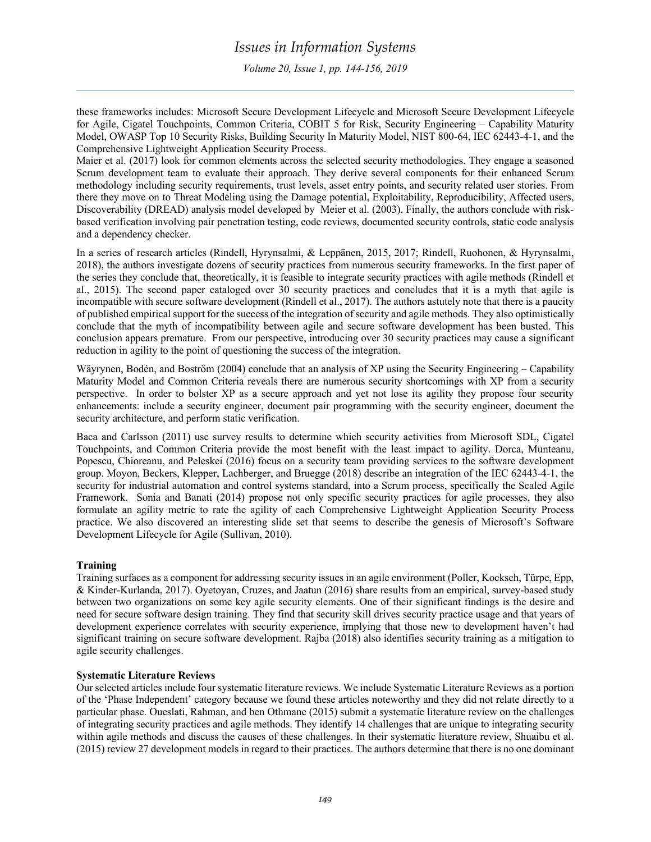these frameworks includes: Microsoft Secure Development Lifecycle and Microsoft Secure Development Lifecycle for Agile, Cigatel Touchpoints, Common Criteria, COBIT 5 for Risk, Security Engineering – Capability Maturity Model, OWASP Top 10 Security Risks, Building Security In Maturity Model, NIST 800-64, IEC 62443-4-1, and the Comprehensive Lightweight Application Security Process.

Maier et al. (2017) look for common elements across the selected security methodologies. They engage a seasoned Scrum development team to evaluate their approach. They derive several components for their enhanced Scrum methodology including security requirements, trust levels, asset entry points, and security related user stories. From there they move on to Threat Modeling using the Damage potential, Exploitability, Reproducibility, Affected users, Discoverability (DREAD) analysis model developed by Meier et al. (2003). Finally, the authors conclude with riskbased verification involving pair penetration testing, code reviews, documented security controls, static code analysis and a dependency checker.

In a series of research articles (Rindell, Hyrynsalmi, & Leppänen, 2015, 2017; Rindell, Ruohonen, & Hyrynsalmi, 2018), the authors investigate dozens of security practices from numerous security frameworks. In the first paper of the series they conclude that, theoretically, it is feasible to integrate security practices with agile methods (Rindell et al., 2015). The second paper cataloged over 30 security practices and concludes that it is a myth that agile is incompatible with secure software development (Rindell et al., 2017). The authors astutely note that there is a paucity of published empirical support for the success of the integration of security and agile methods. They also optimistically conclude that the myth of incompatibility between agile and secure software development has been busted. This conclusion appears premature. From our perspective, introducing over 30 security practices may cause a significant reduction in agility to the point of questioning the success of the integration.

Wäyrynen, Bodén, and Boström (2004) conclude that an analysis of XP using the Security Engineering – Capability Maturity Model and Common Criteria reveals there are numerous security shortcomings with XP from a security perspective. In order to bolster XP as a secure approach and yet not lose its agility they propose four security enhancements: include a security engineer, document pair programming with the security engineer, document the security architecture, and perform static verification.

Baca and Carlsson (2011) use survey results to determine which security activities from Microsoft SDL, Cigatel Touchpoints, and Common Criteria provide the most benefit with the least impact to agility. Dorca, Munteanu, Popescu, Chioreanu, and Peleskei (2016) focus on a security team providing services to the software development group. Moyon, Beckers, Klepper, Lachberger, and Bruegge (2018) describe an integration of the IEC 62443-4-1, the security for industrial automation and control systems standard, into a Scrum process, specifically the Scaled Agile Framework. Sonia and Banati (2014) propose not only specific security practices for agile processes, they also formulate an agility metric to rate the agility of each Comprehensive Lightweight Application Security Process practice. We also discovered an interesting slide set that seems to describe the genesis of Microsoft's Software Development Lifecycle for Agile (Sullivan, 2010).

# **Training**

Training surfaces as a component for addressing security issues in an agile environment (Poller, Kocksch, Türpe, Epp, & Kinder-Kurlanda, 2017). Oyetoyan, Cruzes, and Jaatun (2016) share results from an empirical, survey-based study between two organizations on some key agile security elements. One of their significant findings is the desire and need for secure software design training. They find that security skill drives security practice usage and that years of development experience correlates with security experience, implying that those new to development haven't had significant training on secure software development. Rajba (2018) also identifies security training as a mitigation to agile security challenges.

# **Systematic Literature Reviews**

Our selected articles include four systematic literature reviews. We include Systematic Literature Reviews as a portion of the 'Phase Independent' category because we found these articles noteworthy and they did not relate directly to a particular phase. Oueslati, Rahman, and ben Othmane (2015) submit a systematic literature review on the challenges of integrating security practices and agile methods. They identify 14 challenges that are unique to integrating security within agile methods and discuss the causes of these challenges. In their systematic literature review, Shuaibu et al. (2015) review 27 development models in regard to their practices. The authors determine that there is no one dominant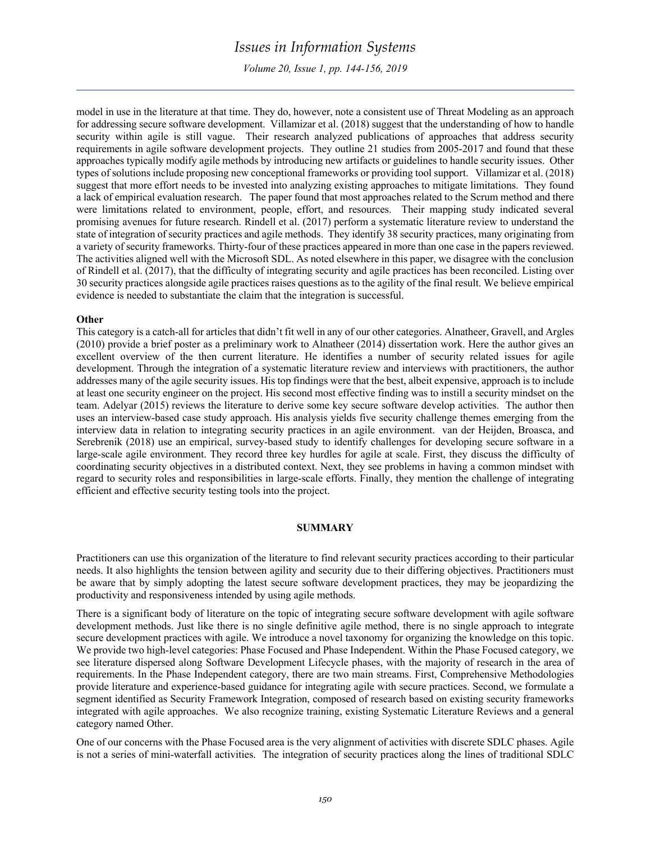*Volume 20, Issue 1, pp. 144-156, 2019*

model in use in the literature at that time. They do, however, note a consistent use of Threat Modeling as an approach for addressing secure software development. Villamizar et al. (2018) suggest that the understanding of how to handle security within agile is still vague. Their research analyzed publications of approaches that address security requirements in agile software development projects. They outline 21 studies from 2005-2017 and found that these approaches typically modify agile methods by introducing new artifacts or guidelines to handle security issues. Other types of solutions include proposing new conceptional frameworks or providing tool support. Villamizar et al. (2018) suggest that more effort needs to be invested into analyzing existing approaches to mitigate limitations. They found a lack of empirical evaluation research. The paper found that most approaches related to the Scrum method and there were limitations related to environment, people, effort, and resources. Their mapping study indicated several promising avenues for future research. Rindell et al. (2017) perform a systematic literature review to understand the state of integration of security practices and agile methods. They identify 38 security practices, many originating from a variety of security frameworks. Thirty-four of these practices appeared in more than one case in the papers reviewed. The activities aligned well with the Microsoft SDL. As noted elsewhere in this paper, we disagree with the conclusion of Rindell et al. (2017), that the difficulty of integrating security and agile practices has been reconciled. Listing over 30 security practices alongside agile practices raises questions as to the agility of the final result. We believe empirical evidence is needed to substantiate the claim that the integration is successful.

#### **Other**

This category is a catch-all for articles that didn't fit well in any of our other categories. Alnatheer, Gravell, and Argles (2010) provide a brief poster as a preliminary work to Alnatheer (2014) dissertation work. Here the author gives an excellent overview of the then current literature. He identifies a number of security related issues for agile development. Through the integration of a systematic literature review and interviews with practitioners, the author addresses many of the agile security issues. His top findings were that the best, albeit expensive, approach is to include at least one security engineer on the project. His second most effective finding was to instill a security mindset on the team. Adelyar (2015) reviews the literature to derive some key secure software develop activities. The author then uses an interview-based case study approach. His analysis yields five security challenge themes emerging from the interview data in relation to integrating security practices in an agile environment. van der Heijden, Broasca, and Serebrenik (2018) use an empirical, survey-based study to identify challenges for developing secure software in a large-scale agile environment. They record three key hurdles for agile at scale. First, they discuss the difficulty of coordinating security objectives in a distributed context. Next, they see problems in having a common mindset with regard to security roles and responsibilities in large-scale efforts. Finally, they mention the challenge of integrating efficient and effective security testing tools into the project.

#### **SUMMARY**

Practitioners can use this organization of the literature to find relevant security practices according to their particular needs. It also highlights the tension between agility and security due to their differing objectives. Practitioners must be aware that by simply adopting the latest secure software development practices, they may be jeopardizing the productivity and responsiveness intended by using agile methods.

There is a significant body of literature on the topic of integrating secure software development with agile software development methods. Just like there is no single definitive agile method, there is no single approach to integrate secure development practices with agile. We introduce a novel taxonomy for organizing the knowledge on this topic. We provide two high-level categories: Phase Focused and Phase Independent. Within the Phase Focused category, we see literature dispersed along Software Development Lifecycle phases, with the majority of research in the area of requirements. In the Phase Independent category, there are two main streams. First, Comprehensive Methodologies provide literature and experience-based guidance for integrating agile with secure practices. Second, we formulate a segment identified as Security Framework Integration, composed of research based on existing security frameworks integrated with agile approaches. We also recognize training, existing Systematic Literature Reviews and a general category named Other.

One of our concerns with the Phase Focused area is the very alignment of activities with discrete SDLC phases. Agile is not a series of mini-waterfall activities. The integration of security practices along the lines of traditional SDLC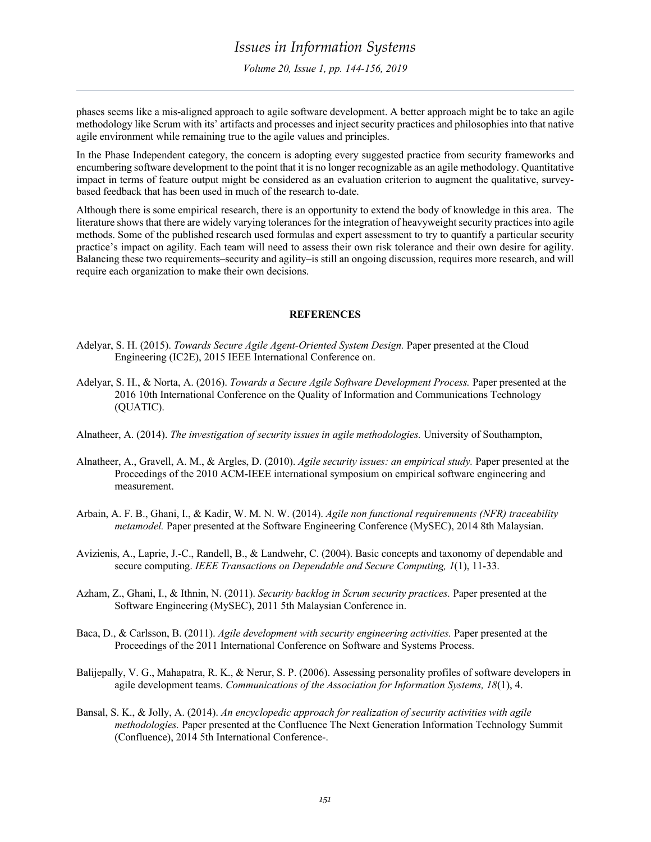phases seems like a mis-aligned approach to agile software development. A better approach might be to take an agile methodology like Scrum with its' artifacts and processes and inject security practices and philosophies into that native agile environment while remaining true to the agile values and principles.

In the Phase Independent category, the concern is adopting every suggested practice from security frameworks and encumbering software development to the point that it is no longer recognizable as an agile methodology. Quantitative impact in terms of feature output might be considered as an evaluation criterion to augment the qualitative, surveybased feedback that has been used in much of the research to-date.

Although there is some empirical research, there is an opportunity to extend the body of knowledge in this area. The literature shows that there are widely varying tolerances for the integration of heavyweight security practices into agile methods. Some of the published research used formulas and expert assessment to try to quantify a particular security practice's impact on agility. Each team will need to assess their own risk tolerance and their own desire for agility. Balancing these two requirements–security and agility–is still an ongoing discussion, requires more research, and will require each organization to make their own decisions.

### **REFERENCES**

- Adelyar, S. H. (2015). *Towards Secure Agile Agent-Oriented System Design.* Paper presented at the Cloud Engineering (IC2E), 2015 IEEE International Conference on.
- Adelyar, S. H., & Norta, A. (2016). *Towards a Secure Agile Software Development Process.* Paper presented at the 2016 10th International Conference on the Quality of Information and Communications Technology (QUATIC).
- Alnatheer, A. (2014). *The investigation of security issues in agile methodologies.* University of Southampton,
- Alnatheer, A., Gravell, A. M., & Argles, D. (2010). *Agile security issues: an empirical study.* Paper presented at the Proceedings of the 2010 ACM-IEEE international symposium on empirical software engineering and measurement.
- Arbain, A. F. B., Ghani, I., & Kadir, W. M. N. W. (2014). *Agile non functional requiremnents (NFR) traceability metamodel.* Paper presented at the Software Engineering Conference (MySEC), 2014 8th Malaysian.
- Avizienis, A., Laprie, J.-C., Randell, B., & Landwehr, C. (2004). Basic concepts and taxonomy of dependable and secure computing. *IEEE Transactions on Dependable and Secure Computing, 1*(1), 11-33.
- Azham, Z., Ghani, I., & Ithnin, N. (2011). *Security backlog in Scrum security practices.* Paper presented at the Software Engineering (MySEC), 2011 5th Malaysian Conference in.
- Baca, D., & Carlsson, B. (2011). *Agile development with security engineering activities.* Paper presented at the Proceedings of the 2011 International Conference on Software and Systems Process.
- Balijepally, V. G., Mahapatra, R. K., & Nerur, S. P. (2006). Assessing personality profiles of software developers in agile development teams. *Communications of the Association for Information Systems, 18*(1), 4.
- Bansal, S. K., & Jolly, A. (2014). *An encyclopedic approach for realization of security activities with agile methodologies.* Paper presented at the Confluence The Next Generation Information Technology Summit (Confluence), 2014 5th International Conference-.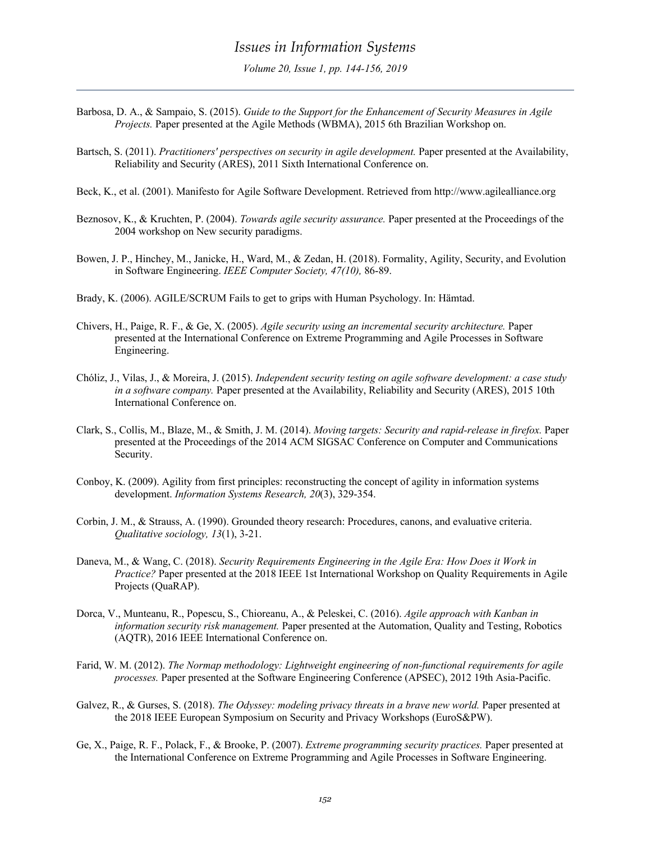- Barbosa, D. A., & Sampaio, S. (2015). *Guide to the Support for the Enhancement of Security Measures in Agile Projects.* Paper presented at the Agile Methods (WBMA), 2015 6th Brazilian Workshop on.
- Bartsch, S. (2011). *Practitioners' perspectives on security in agile development.* Paper presented at the Availability, Reliability and Security (ARES), 2011 Sixth International Conference on.
- Beck, K., et al. (2001). Manifesto for Agile Software Development. Retrieved from http://www.agilealliance.org
- Beznosov, K., & Kruchten, P. (2004). *Towards agile security assurance.* Paper presented at the Proceedings of the 2004 workshop on New security paradigms.
- Bowen, J. P., Hinchey, M., Janicke, H., Ward, M., & Zedan, H. (2018). Formality, Agility, Security, and Evolution in Software Engineering. *IEEE Computer Society, 47(10),* 86-89.
- Brady, K. (2006). AGILE/SCRUM Fails to get to grips with Human Psychology. In: Hämtad.
- Chivers, H., Paige, R. F., & Ge, X. (2005). *Agile security using an incremental security architecture.* Paper presented at the International Conference on Extreme Programming and Agile Processes in Software Engineering.
- Chóliz, J., Vilas, J., & Moreira, J. (2015). *Independent security testing on agile software development: a case study in a software company.* Paper presented at the Availability, Reliability and Security (ARES), 2015 10th International Conference on.
- Clark, S., Collis, M., Blaze, M., & Smith, J. M. (2014). *Moving targets: Security and rapid-release in firefox.* Paper presented at the Proceedings of the 2014 ACM SIGSAC Conference on Computer and Communications Security.
- Conboy, K. (2009). Agility from first principles: reconstructing the concept of agility in information systems development. *Information Systems Research, 20*(3), 329-354.
- Corbin, J. M., & Strauss, A. (1990). Grounded theory research: Procedures, canons, and evaluative criteria. *Qualitative sociology, 13*(1), 3-21.
- Daneva, M., & Wang, C. (2018). *Security Requirements Engineering in the Agile Era: How Does it Work in Practice?* Paper presented at the 2018 IEEE 1st International Workshop on Quality Requirements in Agile Projects (QuaRAP).
- Dorca, V., Munteanu, R., Popescu, S., Chioreanu, A., & Peleskei, C. (2016). *Agile approach with Kanban in information security risk management.* Paper presented at the Automation, Quality and Testing, Robotics (AQTR), 2016 IEEE International Conference on.
- Farid, W. M. (2012). *The Normap methodology: Lightweight engineering of non-functional requirements for agile processes.* Paper presented at the Software Engineering Conference (APSEC), 2012 19th Asia-Pacific.
- Galvez, R., & Gurses, S. (2018). *The Odyssey: modeling privacy threats in a brave new world.* Paper presented at the 2018 IEEE European Symposium on Security and Privacy Workshops (EuroS&PW).
- Ge, X., Paige, R. F., Polack, F., & Brooke, P. (2007). *Extreme programming security practices.* Paper presented at the International Conference on Extreme Programming and Agile Processes in Software Engineering.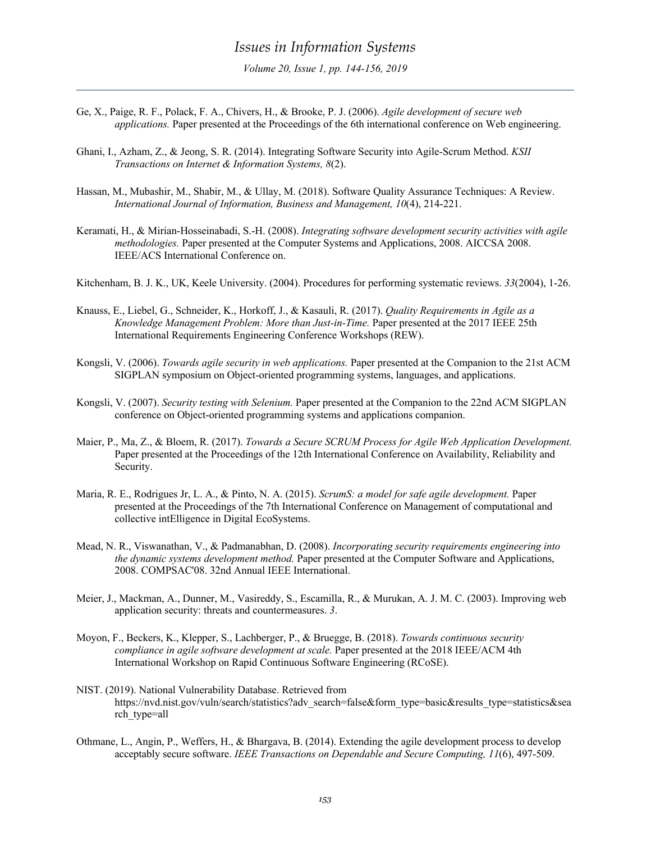- Ge, X., Paige, R. F., Polack, F. A., Chivers, H., & Brooke, P. J. (2006). *Agile development of secure web applications.* Paper presented at the Proceedings of the 6th international conference on Web engineering.
- Ghani, I., Azham, Z., & Jeong, S. R. (2014). Integrating Software Security into Agile-Scrum Method. *KSII Transactions on Internet & Information Systems, 8*(2).
- Hassan, M., Mubashir, M., Shabir, M., & Ullay, M. (2018). Software Quality Assurance Techniques: A Review. *International Journal of Information, Business and Management, 10*(4), 214-221.
- Keramati, H., & Mirian-Hosseinabadi, S.-H. (2008). *Integrating software development security activities with agile methodologies.* Paper presented at the Computer Systems and Applications, 2008. AICCSA 2008. IEEE/ACS International Conference on.

Kitchenham, B. J. K., UK, Keele University. (2004). Procedures for performing systematic reviews. *33*(2004), 1-26.

- Knauss, E., Liebel, G., Schneider, K., Horkoff, J., & Kasauli, R. (2017). *Quality Requirements in Agile as a Knowledge Management Problem: More than Just-in-Time.* Paper presented at the 2017 IEEE 25th International Requirements Engineering Conference Workshops (REW).
- Kongsli, V. (2006). *Towards agile security in web applications.* Paper presented at the Companion to the 21st ACM SIGPLAN symposium on Object-oriented programming systems, languages, and applications.
- Kongsli, V. (2007). *Security testing with Selenium.* Paper presented at the Companion to the 22nd ACM SIGPLAN conference on Object-oriented programming systems and applications companion.
- Maier, P., Ma, Z., & Bloem, R. (2017). *Towards a Secure SCRUM Process for Agile Web Application Development.* Paper presented at the Proceedings of the 12th International Conference on Availability, Reliability and Security.
- Maria, R. E., Rodrigues Jr, L. A., & Pinto, N. A. (2015). *ScrumS: a model for safe agile development.* Paper presented at the Proceedings of the 7th International Conference on Management of computational and collective intElligence in Digital EcoSystems.
- Mead, N. R., Viswanathan, V., & Padmanabhan, D. (2008). *Incorporating security requirements engineering into the dynamic systems development method.* Paper presented at the Computer Software and Applications, 2008. COMPSAC'08. 32nd Annual IEEE International.
- Meier, J., Mackman, A., Dunner, M., Vasireddy, S., Escamilla, R., & Murukan, A. J. M. C. (2003). Improving web application security: threats and countermeasures. *3*.
- Moyon, F., Beckers, K., Klepper, S., Lachberger, P., & Bruegge, B. (2018). *Towards continuous security compliance in agile software development at scale.* Paper presented at the 2018 IEEE/ACM 4th International Workshop on Rapid Continuous Software Engineering (RCoSE).
- NIST. (2019). National Vulnerability Database. Retrieved from https://nvd.nist.gov/vuln/search/statistics?adv\_search=false&form\_type=basic&results\_type=statistics&sea rch\_type=all
- Othmane, L., Angin, P., Weffers, H., & Bhargava, B. (2014). Extending the agile development process to develop acceptably secure software. *IEEE Transactions on Dependable and Secure Computing, 11*(6), 497-509.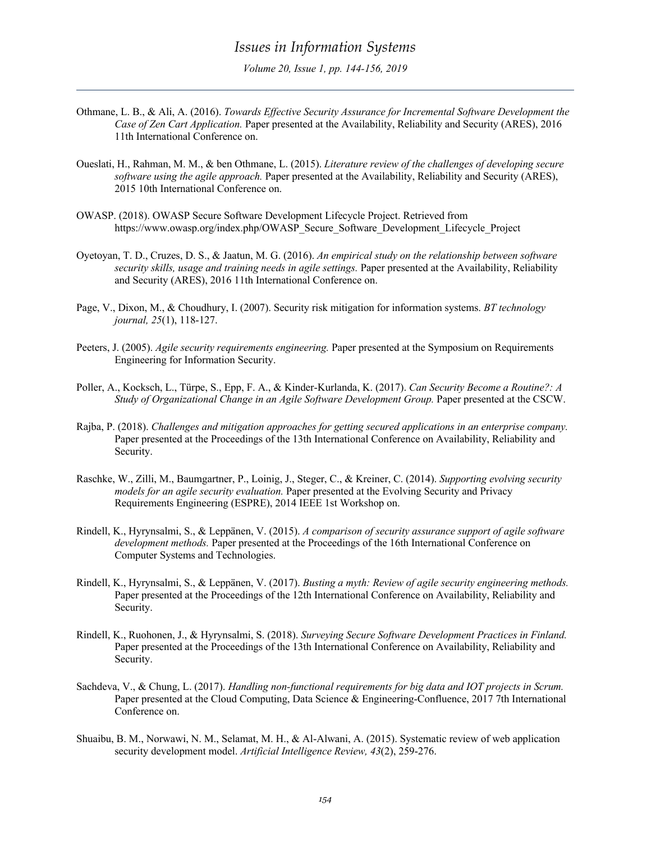- Othmane, L. B., & Ali, A. (2016). *Towards Effective Security Assurance for Incremental Software Development the Case of Zen Cart Application.* Paper presented at the Availability, Reliability and Security (ARES), 2016 11th International Conference on.
- Oueslati, H., Rahman, M. M., & ben Othmane, L. (2015). *Literature review of the challenges of developing secure software using the agile approach.* Paper presented at the Availability, Reliability and Security (ARES), 2015 10th International Conference on.
- OWASP. (2018). OWASP Secure Software Development Lifecycle Project. Retrieved from https://www.owasp.org/index.php/OWASP\_Secure\_Software\_Development\_Lifecycle\_Project
- Oyetoyan, T. D., Cruzes, D. S., & Jaatun, M. G. (2016). *An empirical study on the relationship between software security skills, usage and training needs in agile settings.* Paper presented at the Availability, Reliability and Security (ARES), 2016 11th International Conference on.
- Page, V., Dixon, M., & Choudhury, I. (2007). Security risk mitigation for information systems. *BT technology journal, 25*(1), 118-127.
- Peeters, J. (2005). *Agile security requirements engineering.* Paper presented at the Symposium on Requirements Engineering for Information Security.
- Poller, A., Kocksch, L., Türpe, S., Epp, F. A., & Kinder-Kurlanda, K. (2017). *Can Security Become a Routine?: A Study of Organizational Change in an Agile Software Development Group.* Paper presented at the CSCW.
- Rajba, P. (2018). *Challenges and mitigation approaches for getting secured applications in an enterprise company.* Paper presented at the Proceedings of the 13th International Conference on Availability, Reliability and Security.
- Raschke, W., Zilli, M., Baumgartner, P., Loinig, J., Steger, C., & Kreiner, C. (2014). *Supporting evolving security models for an agile security evaluation.* Paper presented at the Evolving Security and Privacy Requirements Engineering (ESPRE), 2014 IEEE 1st Workshop on.
- Rindell, K., Hyrynsalmi, S., & Leppänen, V. (2015). *A comparison of security assurance support of agile software development methods.* Paper presented at the Proceedings of the 16th International Conference on Computer Systems and Technologies.
- Rindell, K., Hyrynsalmi, S., & Leppänen, V. (2017). *Busting a myth: Review of agile security engineering methods.* Paper presented at the Proceedings of the 12th International Conference on Availability, Reliability and Security.
- Rindell, K., Ruohonen, J., & Hyrynsalmi, S. (2018). *Surveying Secure Software Development Practices in Finland.* Paper presented at the Proceedings of the 13th International Conference on Availability, Reliability and Security.
- Sachdeva, V., & Chung, L. (2017). *Handling non-functional requirements for big data and IOT projects in Scrum.* Paper presented at the Cloud Computing, Data Science & Engineering-Confluence, 2017 7th International Conference on.
- Shuaibu, B. M., Norwawi, N. M., Selamat, M. H., & Al-Alwani, A. (2015). Systematic review of web application security development model. *Artificial Intelligence Review, 43*(2), 259-276.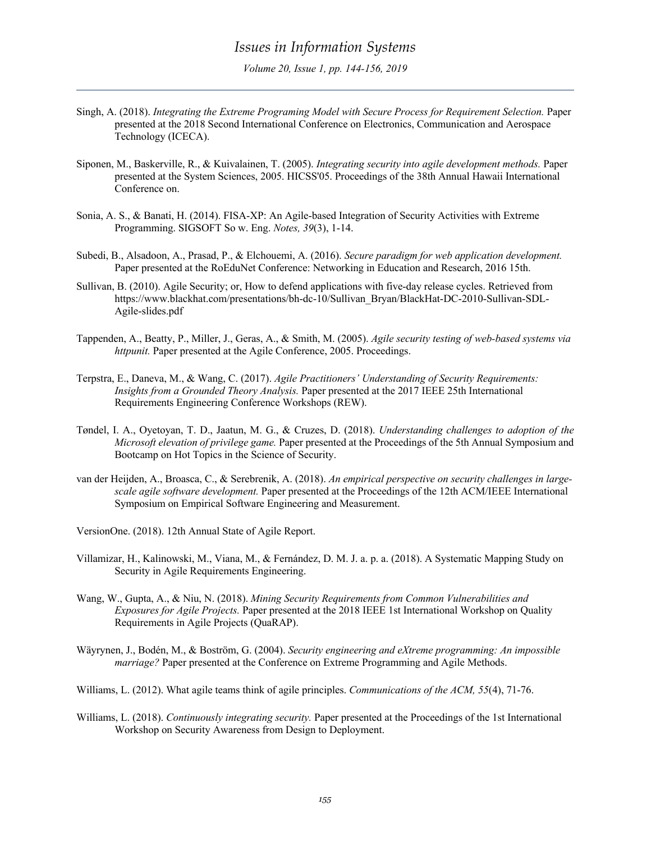- Singh, A. (2018). *Integrating the Extreme Programing Model with Secure Process for Requirement Selection.* Paper presented at the 2018 Second International Conference on Electronics, Communication and Aerospace Technology (ICECA).
- Siponen, M., Baskerville, R., & Kuivalainen, T. (2005). *Integrating security into agile development methods.* Paper presented at the System Sciences, 2005. HICSS'05. Proceedings of the 38th Annual Hawaii International Conference on.
- Sonia, A. S., & Banati, H. (2014). FISA-XP: An Agile-based Integration of Security Activities with Extreme Programming. SIGSOFT So w. Eng. *Notes, 39*(3), 1-14.
- Subedi, B., Alsadoon, A., Prasad, P., & Elchouemi, A. (2016). *Secure paradigm for web application development.* Paper presented at the RoEduNet Conference: Networking in Education and Research, 2016 15th.
- Sullivan, B. (2010). Agile Security; or, How to defend applications with five-day release cycles. Retrieved from https://www.blackhat.com/presentations/bh-dc-10/Sullivan\_Bryan/BlackHat-DC-2010-Sullivan-SDL-Agile-slides.pdf
- Tappenden, A., Beatty, P., Miller, J., Geras, A., & Smith, M. (2005). *Agile security testing of web-based systems via httpunit.* Paper presented at the Agile Conference, 2005. Proceedings.
- Terpstra, E., Daneva, M., & Wang, C. (2017). *Agile Practitioners' Understanding of Security Requirements: Insights from a Grounded Theory Analysis.* Paper presented at the 2017 IEEE 25th International Requirements Engineering Conference Workshops (REW).
- Tøndel, I. A., Oyetoyan, T. D., Jaatun, M. G., & Cruzes, D. (2018). *Understanding challenges to adoption of the Microsoft elevation of privilege game.* Paper presented at the Proceedings of the 5th Annual Symposium and Bootcamp on Hot Topics in the Science of Security.
- van der Heijden, A., Broasca, C., & Serebrenik, A. (2018). *An empirical perspective on security challenges in largescale agile software development.* Paper presented at the Proceedings of the 12th ACM/IEEE International Symposium on Empirical Software Engineering and Measurement.

VersionOne. (2018). 12th Annual State of Agile Report.

- Villamizar, H., Kalinowski, M., Viana, M., & Fernández, D. M. J. a. p. a. (2018). A Systematic Mapping Study on Security in Agile Requirements Engineering.
- Wang, W., Gupta, A., & Niu, N. (2018). *Mining Security Requirements from Common Vulnerabilities and Exposures for Agile Projects.* Paper presented at the 2018 IEEE 1st International Workshop on Quality Requirements in Agile Projects (QuaRAP).
- Wäyrynen, J., Bodén, M., & Boström, G. (2004). *Security engineering and eXtreme programming: An impossible marriage?* Paper presented at the Conference on Extreme Programming and Agile Methods.

Williams, L. (2012). What agile teams think of agile principles. *Communications of the ACM, 55*(4), 71-76.

Williams, L. (2018). *Continuously integrating security.* Paper presented at the Proceedings of the 1st International Workshop on Security Awareness from Design to Deployment.